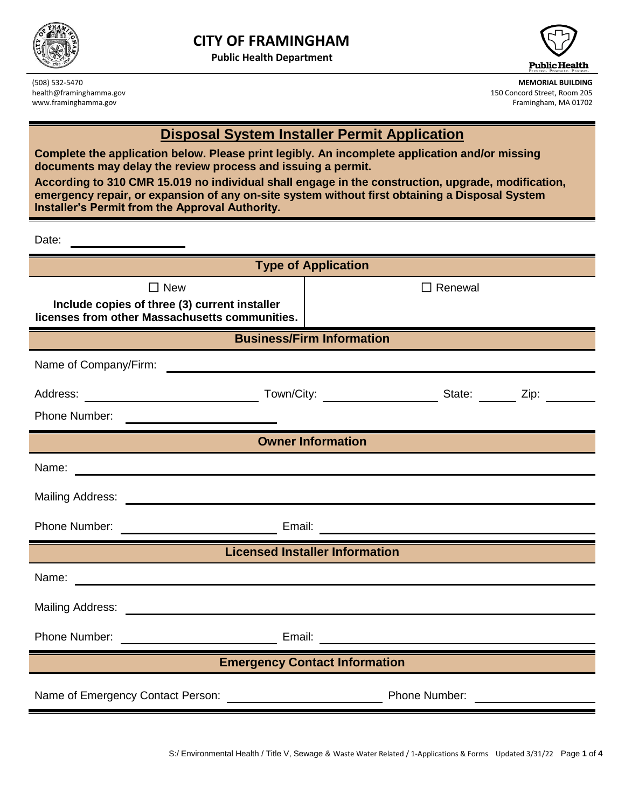

**Public Health Department**





(508) 532-5470 **MEMORIAL BUILDING** health@framinghamma.gov 150 Concord Street, Room 205 www.framinghamma.gov **Framinghamma.gov** Framingham, MA 01702

## **Disposal System Installer Permit Application**

**Complete the application below. Please print legibly. An incomplete application and/or missing documents may delay the review process and issuing a permit.**

**According to 310 CMR 15.019 no individual shall engage in the construction, upgrade, modification, emergency repair, or expansion of any on-site system without first obtaining a Disposal System Installer's Permit from the Approval Authority.**

Date:

| <b>Type of Application</b>                                                                                                                                                                                                                                                                                                                                                  |                                                                                                                                                                                                                                      |  |  |
|-----------------------------------------------------------------------------------------------------------------------------------------------------------------------------------------------------------------------------------------------------------------------------------------------------------------------------------------------------------------------------|--------------------------------------------------------------------------------------------------------------------------------------------------------------------------------------------------------------------------------------|--|--|
| $\Box$ New                                                                                                                                                                                                                                                                                                                                                                  | $\Box$ Renewal                                                                                                                                                                                                                       |  |  |
| Include copies of three (3) current installer<br>licenses from other Massachusetts communities.                                                                                                                                                                                                                                                                             |                                                                                                                                                                                                                                      |  |  |
| <b>Business/Firm Information</b>                                                                                                                                                                                                                                                                                                                                            |                                                                                                                                                                                                                                      |  |  |
| Name of Company/Firm:<br><u> 1989 - Johann Harry Harry Harry Harry Harry Harry Harry Harry Harry Harry Harry Harry Harry Harry Harry Harry</u>                                                                                                                                                                                                                              |                                                                                                                                                                                                                                      |  |  |
|                                                                                                                                                                                                                                                                                                                                                                             |                                                                                                                                                                                                                                      |  |  |
| Phone Number:<br><u> 1989 - Johann John Stone, markin sammen fyrir yr y brening og fyrir yr ymgyr y gynnys yr y gynnys yr y gynnys</u><br>a de la construcción de la construcción de la construcción de la construcción de la construcción de la construcció<br>En la construcción de la construcción de la construcción de la construcción de la construcción de la constr |                                                                                                                                                                                                                                      |  |  |
| <b>Owner Information</b>                                                                                                                                                                                                                                                                                                                                                    |                                                                                                                                                                                                                                      |  |  |
| Name: <u>example and a series of the series of the series of the series of the series of the series of the series of the series of the series of the series of the series of the series of the series of the series of the serie</u>                                                                                                                                        |                                                                                                                                                                                                                                      |  |  |
|                                                                                                                                                                                                                                                                                                                                                                             |                                                                                                                                                                                                                                      |  |  |
|                                                                                                                                                                                                                                                                                                                                                                             |                                                                                                                                                                                                                                      |  |  |
| <b>Licensed Installer Information</b>                                                                                                                                                                                                                                                                                                                                       |                                                                                                                                                                                                                                      |  |  |
| Name: Name: Name: Name: Name: Name: Name: Name: Name: Name: Name: Name: Name: Name: Name: Name: Name: Name: Name: Name: Name: Name: Name: Name: Name: Name: Name: Name: Name: Name: Name: Name: Name: Name: Name: Name: Name:                                                                                                                                               |                                                                                                                                                                                                                                      |  |  |
|                                                                                                                                                                                                                                                                                                                                                                             |                                                                                                                                                                                                                                      |  |  |
| Phone Number: <u>New York: Email:</u> Email: New York: New York: New York: New York: New York: New York: New York: New York: New York: New York: New York: New York: New York: New York: New York: New York: New York: New York: Ne                                                                                                                                         |                                                                                                                                                                                                                                      |  |  |
| <b>Emergency Contact Information</b>                                                                                                                                                                                                                                                                                                                                        |                                                                                                                                                                                                                                      |  |  |
|                                                                                                                                                                                                                                                                                                                                                                             | <u>and the state of the state of the state of the state of the state of the state of the state of the state of the state of the state of the state of the state of the state of the state of the state of the state of the state</u> |  |  |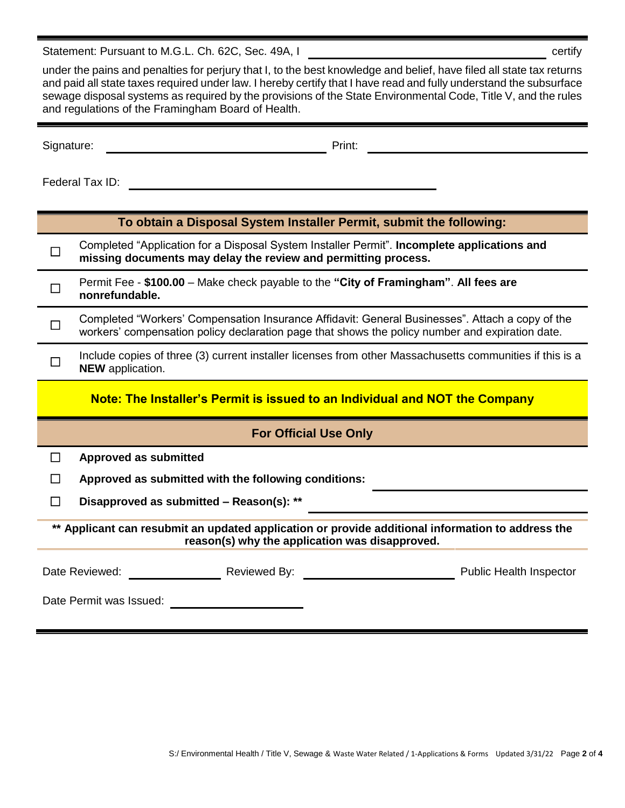Statement: Pursuant to M.G.L. Ch. 62C, Sec. 49A, I certify

under the pains and penalties for perjury that I, to the best knowledge and belief, have filed all state tax returns and paid all state taxes required under law. I hereby certify that I have read and fully understand the subsurface sewage disposal systems as required by the provisions of the State Environmental Code, Title V, and the rules and regulations of the Framingham Board of Health.

Signature: The Contract of the Contract of Print: Print: Print: The Contract of the Contract of the Contract of the Contract of the Contract of the Contract of the Contract of the Contract of the Contract of the Contract o

Federal Tax ID: <u>Contract Contract Contract Contract Contract Contract Contract Contract Contract Contract Contract Contract Contract Contract Contract Contract Contract Contract Contract Contract Contract Contract Contrac</u>

| To obtain a Disposal System Installer Permit, submit the following:         |                                                                                                                                                                                                    |  |  |  |
|-----------------------------------------------------------------------------|----------------------------------------------------------------------------------------------------------------------------------------------------------------------------------------------------|--|--|--|
| П                                                                           | Completed "Application for a Disposal System Installer Permit". Incomplete applications and<br>missing documents may delay the review and permitting process.                                      |  |  |  |
| П                                                                           | Permit Fee - \$100.00 – Make check payable to the "City of Framingham". All fees are<br>nonrefundable.                                                                                             |  |  |  |
| □                                                                           | Completed "Workers' Compensation Insurance Affidavit: General Businesses". Attach a copy of the<br>workers' compensation policy declaration page that shows the policy number and expiration date. |  |  |  |
|                                                                             | Include copies of three (3) current installer licenses from other Massachusetts communities if this is a<br><b>NEW</b> application.                                                                |  |  |  |
| Note: The Installer's Permit is issued to an Individual and NOT the Company |                                                                                                                                                                                                    |  |  |  |
|                                                                             |                                                                                                                                                                                                    |  |  |  |
|                                                                             | <b>For Official Use Only</b>                                                                                                                                                                       |  |  |  |
| ΙI                                                                          | <b>Approved as submitted</b>                                                                                                                                                                       |  |  |  |
|                                                                             | Approved as submitted with the following conditions:                                                                                                                                               |  |  |  |
| $\mathsf{L}$                                                                | Disapproved as submitted - Reason(s): **                                                                                                                                                           |  |  |  |
|                                                                             | ** Applicant can resubmit an updated application or provide additional information to address the<br>reason(s) why the application was disapproved.                                                |  |  |  |
|                                                                             | Date Reviewed:<br>Reviewed By:<br><b>Public Health Inspector</b>                                                                                                                                   |  |  |  |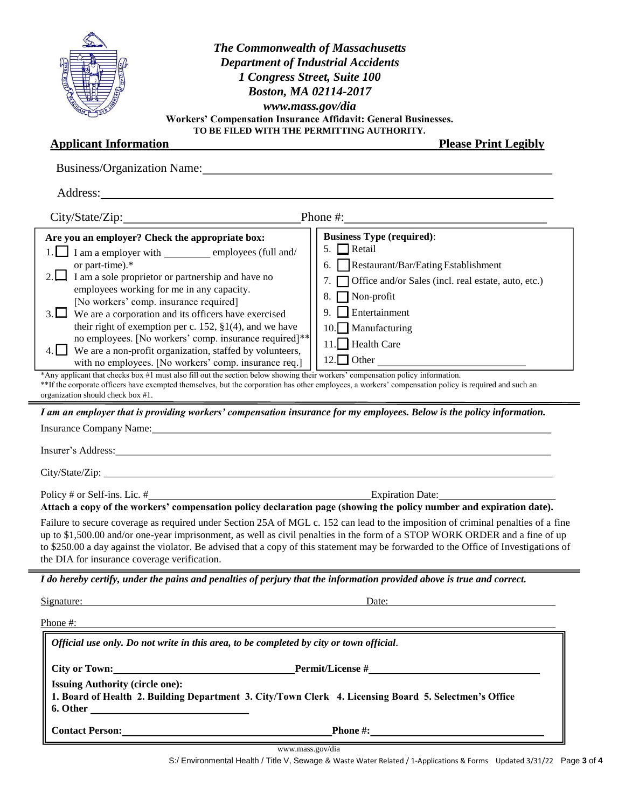| NSE PE<br><b>CONTRACTOR</b><br><b>CASILIAN</b> | ă |
|------------------------------------------------|---|

## *The Commonwealth of Massachusetts Department of Industrial Accidents 1 Congress Street, Suite 100 Boston, MA 02114-2017 www.mass.gov/dia* **Workers' Compensation Insurance Affidavit: General Businesses. TO BE FILED WITH THE PERMITTING AUTHORITY.**

## **Applicant Information Please Print Legibly**

| Business/Organization Name:                                                                                                                                                                                                                                                                                                                                                                                                                                                                                                                                                                                                                                                                                                                                                                                                                                                                                              |                                                                                                                                                                                                                                                                                        |  |
|--------------------------------------------------------------------------------------------------------------------------------------------------------------------------------------------------------------------------------------------------------------------------------------------------------------------------------------------------------------------------------------------------------------------------------------------------------------------------------------------------------------------------------------------------------------------------------------------------------------------------------------------------------------------------------------------------------------------------------------------------------------------------------------------------------------------------------------------------------------------------------------------------------------------------|----------------------------------------------------------------------------------------------------------------------------------------------------------------------------------------------------------------------------------------------------------------------------------------|--|
| Address:                                                                                                                                                                                                                                                                                                                                                                                                                                                                                                                                                                                                                                                                                                                                                                                                                                                                                                                 |                                                                                                                                                                                                                                                                                        |  |
| City/State/Zip: Phone #:                                                                                                                                                                                                                                                                                                                                                                                                                                                                                                                                                                                                                                                                                                                                                                                                                                                                                                 |                                                                                                                                                                                                                                                                                        |  |
| Are you an employer? Check the appropriate box:<br>1. I am a employer with employees (full and/<br>or part-time).*<br>2. $\Box$ I am a sole proprietor or partnership and have no<br>employees working for me in any capacity.<br>[No workers' comp. insurance required]<br>3. $\Box$ We are a corporation and its officers have exercised<br>their right of exemption per c. 152, $\S1(4)$ , and we have<br>no employees. [No workers' comp. insurance required]**<br>We are a non-profit organization, staffed by volunteers,<br>with no employees. [No workers' comp. insurance req.]<br>*Any applicant that checks box #1 must also fill out the section below showing their workers' compensation policy information.<br>**If the corporate officers have exempted themselves, but the corporation has other employees, a workers' compensation policy is required and such an<br>organization should check box #1. | <b>Business Type (required):</b><br>5. $\Box$ Retail<br>6. Restaurant/Bar/Eating Establishment<br>Office and/or Sales (incl. real estate, auto, etc.)<br>7 <sub>1</sub><br>$\sqrt{\frac{1}{2}}$ Non-profit<br>8.<br>$\Box$ Entertainment<br>9.<br>10. Manufacturing<br>11. Health Care |  |
| I am an employer that is providing workers' compensation insurance for my employees. Below is the policy information.<br>Insurance Company Name: 1986 Manual Company Name: 1986 Manual Company Name: 1986 Manual Company Name: 1986 Manual Company Name: 1986 Manual Company Name: 1986 Manual Company Name: 1986 Manual Company Name: 1986 Manual Comp<br>Insurer's Address: National Community of the Community of the Community of the Community of the Community of the Community of the Community of the Community of the Community of the Community of the Community of the Communi                                                                                                                                                                                                                                                                                                                                |                                                                                                                                                                                                                                                                                        |  |
| Policy # or Self-ins. Lic. #<br>Attach a copy of the workers' compensation policy declaration page (showing the policy number and expiration date).                                                                                                                                                                                                                                                                                                                                                                                                                                                                                                                                                                                                                                                                                                                                                                      |                                                                                                                                                                                                                                                                                        |  |
| up to \$1,500.00 and/or one-year imprisonment, as well as civil penalties in the form of a STOP WORK ORDER and a fine of up<br>the DIA for insurance coverage verification.                                                                                                                                                                                                                                                                                                                                                                                                                                                                                                                                                                                                                                                                                                                                              | Failure to secure coverage as required under Section 25A of MGL c. 152 can lead to the imposition of criminal penalties of a fine<br>to \$250.00 a day against the violator. Be advised that a copy of this statement may be forwarded to the Office of Investigations of              |  |
| I do hereby certify, under the pains and penalties of perjury that the information provided above is true and correct.                                                                                                                                                                                                                                                                                                                                                                                                                                                                                                                                                                                                                                                                                                                                                                                                   |                                                                                                                                                                                                                                                                                        |  |
| Signature:                                                                                                                                                                                                                                                                                                                                                                                                                                                                                                                                                                                                                                                                                                                                                                                                                                                                                                               | Date:                                                                                                                                                                                                                                                                                  |  |
| Phone #:                                                                                                                                                                                                                                                                                                                                                                                                                                                                                                                                                                                                                                                                                                                                                                                                                                                                                                                 |                                                                                                                                                                                                                                                                                        |  |
| Official use only. Do not write in this area, to be completed by city or town official.                                                                                                                                                                                                                                                                                                                                                                                                                                                                                                                                                                                                                                                                                                                                                                                                                                  |                                                                                                                                                                                                                                                                                        |  |
| City or Town:                                                                                                                                                                                                                                                                                                                                                                                                                                                                                                                                                                                                                                                                                                                                                                                                                                                                                                            |                                                                                                                                                                                                                                                                                        |  |
| <b>Issuing Authority (circle one):</b><br>1. Board of Health 2. Building Department 3. City/Town Clerk 4. Licensing Board 5. Selectmen's Office                                                                                                                                                                                                                                                                                                                                                                                                                                                                                                                                                                                                                                                                                                                                                                          |                                                                                                                                                                                                                                                                                        |  |
| <b>Contact Person:</b> Contact Person:                                                                                                                                                                                                                                                                                                                                                                                                                                                                                                                                                                                                                                                                                                                                                                                                                                                                                   | Phone $\#$ :                                                                                                                                                                                                                                                                           |  |

www.mass.gov/dia

S:/ Environmental Health / Title V, Sewage & Waste Water Related / 1-Applications & Forms Updated 3/31/22 Page **3** of **4**